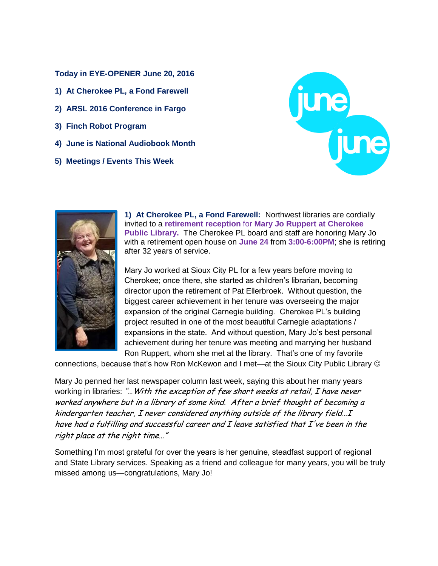**Today in EYE-OPENER June 20, 2016**

- **1) At Cherokee PL, a Fond Farewell**
- **2) ARSL 2016 Conference in Fargo**
- **3) Finch Robot Program**
- **4) June is National Audiobook Month**
- **5) Meetings / Events This Week**





**1) At Cherokee PL, a Fond Farewell:** Northwest libraries are cordially invited to a **retirement reception** for **Mary Jo Ruppert at Cherokee Public Library.** The Cherokee PL board and staff are honoring Mary Jo with a retirement open house on **June 24** from **3:00-6:00PM**; she is retiring after 32 years of service.

Mary Jo worked at Sioux City PL for a few years before moving to Cherokee; once there, she started as children's librarian, becoming director upon the retirement of Pat Ellerbroek. Without question, the biggest career achievement in her tenure was overseeing the major expansion of the original Carnegie building. Cherokee PL's building project resulted in one of the most beautiful Carnegie adaptations / expansions in the state. And without question, Mary Jo's best personal achievement during her tenure was meeting and marrying her husband Ron Ruppert, whom she met at the library. That's one of my favorite

connections, because that's how Ron McKewon and I met—at the Sioux City Public Library

Mary Jo penned her last newspaper column last week, saying this about her many years working in libraries: "... With the exception of few short weeks at retail, I have never worked anywhere but in a library of some kind. After a brief thought of becoming a kindergarten teacher, I never considered anything outside of the library field…<sup>I</sup> have had a fulfilling and successful career and I leave satisfied that I've been in the right place at the right time…"

Something I'm most grateful for over the years is her genuine, steadfast support of regional and State Library services. Speaking as a friend and colleague for many years, you will be truly missed among us—congratulations, Mary Jo!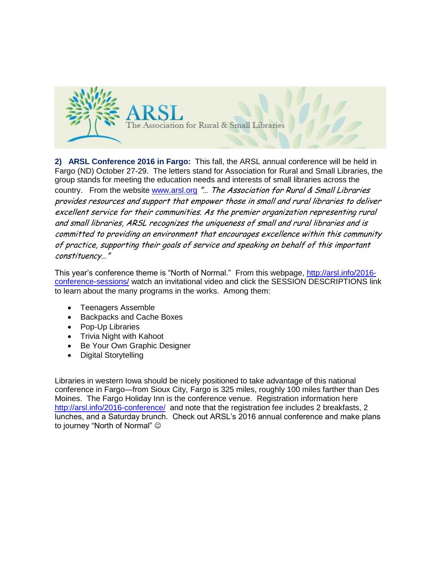

**2) ARSL Conference 2016 in Fargo:** This fall, the ARSL annual conference will be held in Fargo (ND) October 27-29. The letters stand for Association for Rural and Small Libraries, the group stands for meeting the education needs and interests of small libraries across the country. From the website [www.arsl.org](http://www.arsl.org/) "... The Association for Rural & Small Libraries provides resources and support that empower those in small and rural libraries to deliver excellent service for their communities. As the premier organization representing rural and small libraries, ARSL recognizes the uniqueness of small and rural libraries and is committed to providing an environment that encourages excellence within this community of practice, supporting their goals of service and speaking on behalf of this important constituency…"

This year's conference theme is "North of Normal." From this webpage, [http://arsl.info/2016](http://arsl.info/2016-conference-sessions/) [conference-sessions/](http://arsl.info/2016-conference-sessions/) watch an invitational video and click the SESSION DESCRIPTIONS link to learn about the many programs in the works. Among them:

- Teenagers Assemble
- Backpacks and Cache Boxes
- Pop-Up Libraries
- Trivia Night with Kahoot
- Be Your Own Graphic Designer
- Digital Storytelling

Libraries in western Iowa should be nicely positioned to take advantage of this national conference in Fargo—from Sioux City, Fargo is 325 miles, roughly 100 miles farther than Des Moines. The Fargo Holiday Inn is the conference venue. Registration information here <http://arsl.info/2016-conference/>and note that the registration fee includes 2 breakfasts, 2 lunches, and a Saturday brunch. Check out ARSL's 2016 annual conference and make plans to journey "North of Normal"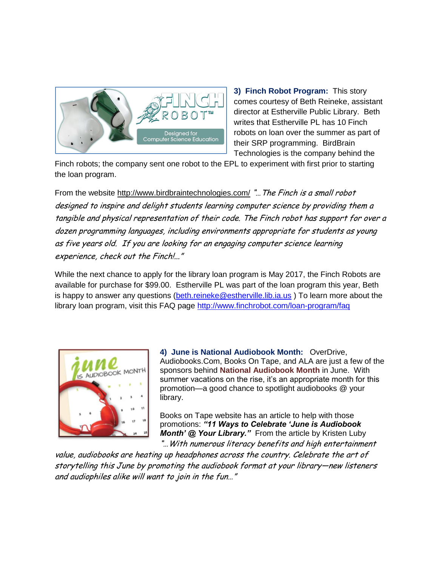

**3) Finch Robot Program:** This story comes courtesy of Beth Reineke, assistant director at Estherville Public Library. Beth writes that Estherville PL has 10 Finch robots on loan over the summer as part of their SRP programming. BirdBrain Technologies is the company behind the

Finch robots; the company sent one robot to the EPL to experiment with first prior to starting the loan program.

From the website <http://www.birdbraintechnologies.com/> "... The Finch is a small robot designed to inspire and delight students learning computer science by providing them a tangible and physical representation of their code. The Finch robot has support for over a dozen programming languages, including environments appropriate for students as young as five years old. If you are looking for an engaging computer science learning experience, check out the Finch!..."

While the next chance to apply for the library loan program is May 2017, the Finch Robots are available for purchase for \$99.00. Estherville PL was part of the loan program this year, Beth is happy to answer any questions [\(beth.reineke@estherville.lib.ia.us](mailto:beth.reineke@estherville.lib.ia.us)) To learn more about the library loan program, visit this FAQ page<http://www.finchrobot.com/loan-program/faq>



**4) June is National Audiobook Month:** OverDrive, Audiobooks.Com, Books On Tape, and ALA are just a few of the sponsors behind **National Audiobook Month** in June. With summer vacations on the rise, it's an appropriate month for this promotion—a good chance to spotlight audiobooks @ your library.

Books on Tape website has an article to help with those promotions: *"11 Ways to Celebrate 'June is Audiobook Month' @ Your Library."* From the article by Kristen Luby "…With numerous literacy benefits and high entertainment

value, audiobooks are heating up headphones across the country. Celebrate the art of storytelling this June by promoting the audiobook format at your library—new listeners and audiophiles alike will want to join in the fun…"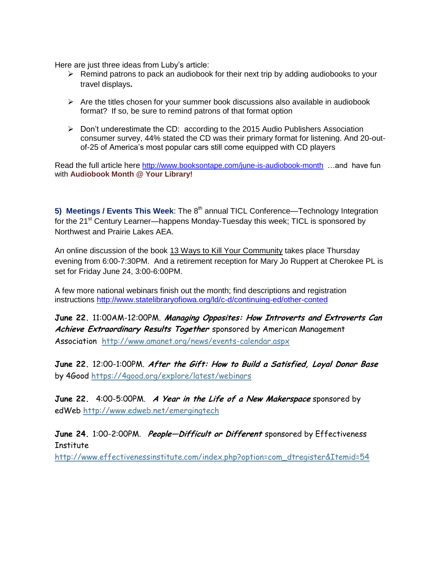Here are just three ideas from Luby's article:

- $\triangleright$  Remind patrons to pack an audiobook for their next trip by adding audiobooks to your travel displays**.**
- $\triangleright$  Are the titles chosen for your summer book discussions also available in audiobook format? If so, be sure to remind patrons of that format option
- $\triangleright$  Don't underestimate the CD: according to the 2015 Audio Publishers Association consumer survey, 44% stated the CD was their primary format for listening. And 20-outof-25 of America's most popular cars still come equipped with CD players

Read the full article here <http://www.booksontape.com/june-is-audiobook-month> …and have fun with **Audiobook Month @ Your Library!**

**5) Meetings / Events This Week:** The 8<sup>th</sup> annual TICL Conference—Technology Integration for the 21<sup>st</sup> Century Learner—happens Monday-Tuesday this week; TICL is sponsored by Northwest and Prairie Lakes AEA.

An online discussion of the book 13 Ways to Kill Your Community takes place Thursday evening from 6:00-7:30PM. And a retirement reception for Mary Jo Ruppert at Cherokee PL is set for Friday June 24, 3:00-6:00PM.

A few more national webinars finish out the month; find descriptions and registration instructions<http://www.statelibraryofiowa.org/ld/c-d/continuing-ed/other-conted>

**June 22.** 11:00AM-12:00PM. **Managing Opposites: How Introverts and Extroverts Can Achieve Extraordinary Results Together** sponsored by American Management Association <http://www.amanet.org/news/events-calendar.aspx>

**June 22.** 12:00-1:00PM. **After the Gift: How to Build a Satisfied, Loyal Donor Base** by 4Good <https://4good.org/explore/latest/webinars>

**June 22.** 4:00-5:00PM. **A Year in the Life of a New Makerspace** sponsored by edWeb <http://www.edweb.net/emergingtech>

**June 24.** 1:00-2:00PM. **People—Difficult or Different** sponsored by Effectiveness **Institute** 

[http://www.effectivenessinstitute.com/index.php?option=com\\_dtregister&Itemid=54](http://www.effectivenessinstitute.com/index.php?option=com_dtregister&Itemid=54)